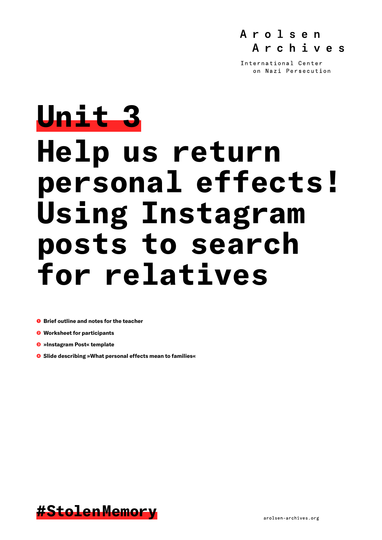

International Center on Nazi Persecution

# **Unit 3 Help us return personal effects! Using Instagram posts to search for relatives**

- ❶ **Brief outline and notes for the teacher**
- ❷ **Worksheet for participants**
- ❸ **»Instagram Post« template**
- ❹ **Slide describing »What personal effects mean to families«**

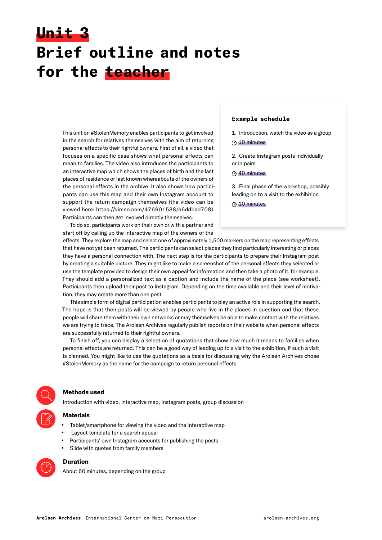# **Unit 3 Brief outline and notes for the teacher**

This unit on #StolenMemory enables participants to get involved in the search for relatives themselves with the aim of returning personal effects to their rightful owners. First of all, a video that focuses on a specific case shows what personal effects can mean to families. The video also introduces the participants to an interactive map which shows the places of birth and the last places of residence or last known whereabouts of the owners of the personal effects in the archive. It also shows how participants can use this map and their own Instagram account to support the return campaign themselves (the video can be viewed here: <https://vimeo.com/476901588/a6ddbad708>). Participants can then get involved directly themselves.

To do so, participants work on their own or with a partner and start off by calling up the interactive map of the owners of the

### **Example schedule**

1. Introduction, watch the video as a group

### **① 10 minutes**

2. Create Instagram posts individually or in pairs

## <sup>(?)</sup> 40 minutes

3. Final phase of the workshop, possibly leading on to a visit to the exhibition

**310 minutes** 

effects. They explore the map and select one of approximately 1,500 markers on the map representing effects that have not yet been returned. The participants can select places they find particularly interesting or places they have a personal connection with. The next step is for the participants to prepare their Instagram post by creating a suitable picture. They might like to make a screenshot of the personal effects they selected or use the template provided to design their own appeal for information and then take a photo of it, for example. They should add a personalized text as a caption and include the name of the place (see worksheet). Participants then upload their post to Instagram. Depending on the time available and their level of motivation, they may create more than one post.

This simple form of digital participation enables participants to play an active role in supporting the search. The hope is that their posts will be viewed by people who live in the places in question and that these people will share them with their own networks or may themselves be able to make contact with the relatives we are trying to trace. The Arolsen Archives regularly publish reports on their website when personal effects are successfully returned to their rightful owners.

To finish off, you can display a selection of quotations that show how much it means to families when personal effects are returned. This can be a good way of leading up to a visit to the exhibition, if such a visit is planned. You might like to use the quotations as a basis for discussing why the Arolsen Archives chose #StolenMemory as the name for the campaign to return personal effects.



### **Methods used**

Introduction with video, interactive map, Instagram posts, group discussion

## **Materials**

- **•** Tablet/smartphone for viewing the video and the interactive map
- **•** Layout template for a search appeal
- **•** Participants' own Instagram accounts for publishing the posts
- **•** Slide with quotes from family members



# **Duration**

About 60 minutes, depending on the group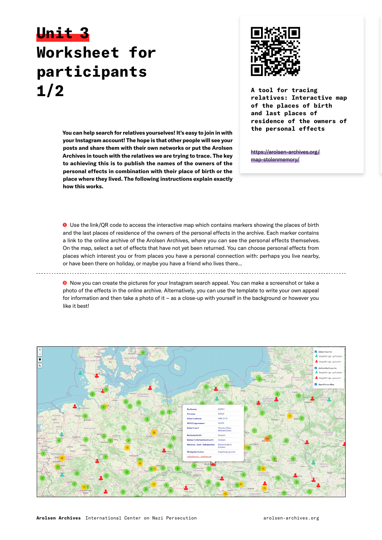# **Unit 3 Worksheet for participants 1/2 A tool for tracing**



**relatives: Interactive map of the places of birth and last places of residence of the owners of the personal effects**

**You can help search for relatives yourselves! It's easy to join in with your Instagram account! The hope is that other people will see your posts and share them with their own networks or put the Arolsen Archives in touch with the relatives we are trying to trace. The key to achieving this is to publish the names of the owners of the personal effects in combination with their place of birth or the place where they lived. The following instructions explain exactly how this works.**

[https://arolsen-archives.org/](https://arolsen-archives.org/map-stolenmemory/) [map-stolenmemory/](https://arolsen-archives.org/map-stolenmemory/)

❶ Use the link/QR code to access the interactive map which contains markers showing the places of birth and the last places of residence of the owners of the personal effects in the archive. Each marker contains a link to the online archive of the Arolsen Archives, where you can see the personal effects themselves. On the map, select a set of effects that have not yet been returned. You can choose personal effects from places which interest you or from places you have a personal connection with: perhaps you live nearby, or have been there on holiday, or maybe you have a friend who lives there...

<sup>●</sup> Now you can create the pictures for your Instagram search appeal. You can make a screenshot or take a photo of the effects in the online archive. Alternatively, you can use the template to write your own appeal for information and then take a photo of it – as a close-up with yourself in the background or however you like it best!

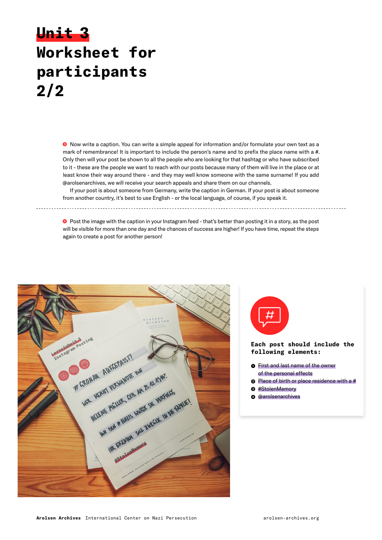# **Unit 3 Worksheet for participants 2/2**

❸ Now write a caption. You can write a simple appeal for information and/or formulate your own text as a mark of remembrance! It is important to include the person's name and to prefix the place name with a #. Only then will your post be shown to all the people who are looking for that hashtag or who have subscribed to it - these are the people we want to reach with our posts because many of them will live in the place or at least know their way around there - and they may well know someone with the same surname! If you add @arolsenarchives, we will receive your search appeals and share them on our channels.

If your post is about someone from Germany, write the caption in German. If your post is about someone from another country, it's best to use English - or the local language, of course, if you speak it. 

❹ Post the image with the caption in your Instagram feed - that's better than posting it in a story, as the post will be visible for more than one day and the chances of success are higher! If you have time, repeat the steps again to create a post for another person!





❹ @arolsenarchives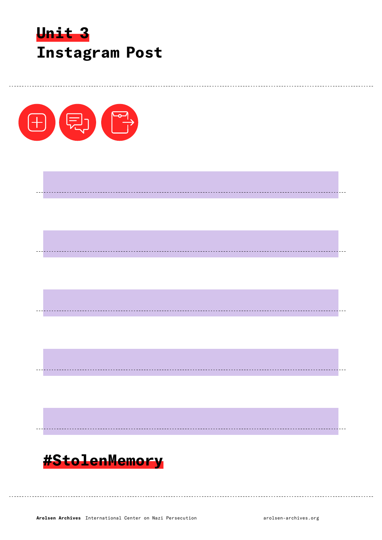